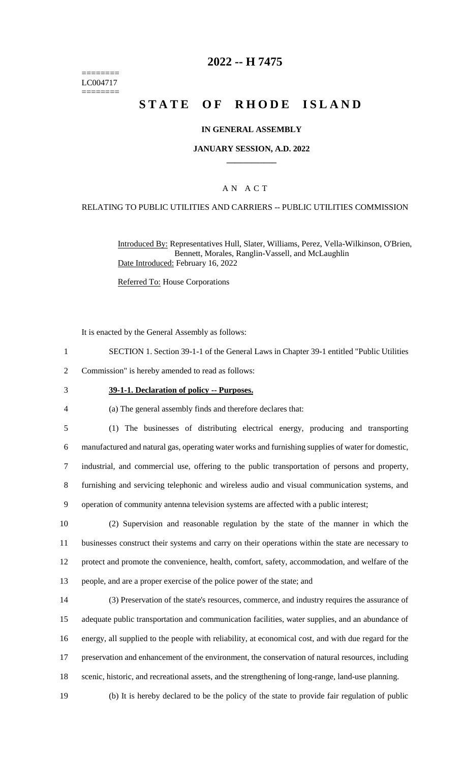======== LC004717 ========

## **2022 -- H 7475**

# **STATE OF RHODE ISLAND**

#### **IN GENERAL ASSEMBLY**

#### **JANUARY SESSION, A.D. 2022 \_\_\_\_\_\_\_\_\_\_\_\_**

#### A N A C T

#### RELATING TO PUBLIC UTILITIES AND CARRIERS -- PUBLIC UTILITIES COMMISSION

Introduced By: Representatives Hull, Slater, Williams, Perez, Vella-Wilkinson, O'Brien, Bennett, Morales, Ranglin-Vassell, and McLaughlin Date Introduced: February 16, 2022

Referred To: House Corporations

It is enacted by the General Assembly as follows:

1 SECTION 1. Section 39-1-1 of the General Laws in Chapter 39-1 entitled "Public Utilities

2 Commission" is hereby amended to read as follows:

#### 3 **39-1-1. Declaration of policy -- Purposes.**

4 (a) The general assembly finds and therefore declares that:

 (1) The businesses of distributing electrical energy, producing and transporting manufactured and natural gas, operating water works and furnishing supplies of water for domestic, industrial, and commercial use, offering to the public transportation of persons and property, furnishing and servicing telephonic and wireless audio and visual communication systems, and operation of community antenna television systems are affected with a public interest;

10 (2) Supervision and reasonable regulation by the state of the manner in which the 11 businesses construct their systems and carry on their operations within the state are necessary to 12 protect and promote the convenience, health, comfort, safety, accommodation, and welfare of the

13 people, and are a proper exercise of the police power of the state; and

 (3) Preservation of the state's resources, commerce, and industry requires the assurance of adequate public transportation and communication facilities, water supplies, and an abundance of energy, all supplied to the people with reliability, at economical cost, and with due regard for the preservation and enhancement of the environment, the conservation of natural resources, including scenic, historic, and recreational assets, and the strengthening of long-range, land-use planning.

19 (b) It is hereby declared to be the policy of the state to provide fair regulation of public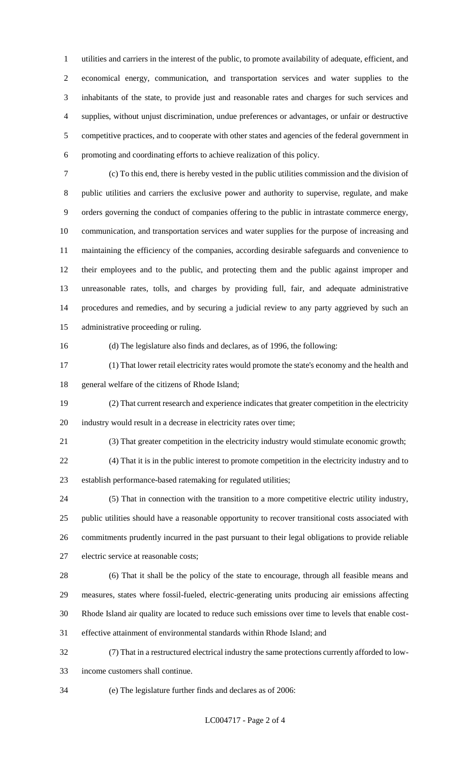utilities and carriers in the interest of the public, to promote availability of adequate, efficient, and economical energy, communication, and transportation services and water supplies to the inhabitants of the state, to provide just and reasonable rates and charges for such services and supplies, without unjust discrimination, undue preferences or advantages, or unfair or destructive competitive practices, and to cooperate with other states and agencies of the federal government in promoting and coordinating efforts to achieve realization of this policy.

 (c) To this end, there is hereby vested in the public utilities commission and the division of public utilities and carriers the exclusive power and authority to supervise, regulate, and make orders governing the conduct of companies offering to the public in intrastate commerce energy, communication, and transportation services and water supplies for the purpose of increasing and maintaining the efficiency of the companies, according desirable safeguards and convenience to their employees and to the public, and protecting them and the public against improper and unreasonable rates, tolls, and charges by providing full, fair, and adequate administrative procedures and remedies, and by securing a judicial review to any party aggrieved by such an administrative proceeding or ruling.

(d) The legislature also finds and declares, as of 1996, the following:

 (1) That lower retail electricity rates would promote the state's economy and the health and general welfare of the citizens of Rhode Island;

 (2) That current research and experience indicates that greater competition in the electricity industry would result in a decrease in electricity rates over time;

(3) That greater competition in the electricity industry would stimulate economic growth;

 (4) That it is in the public interest to promote competition in the electricity industry and to establish performance-based ratemaking for regulated utilities;

 (5) That in connection with the transition to a more competitive electric utility industry, public utilities should have a reasonable opportunity to recover transitional costs associated with commitments prudently incurred in the past pursuant to their legal obligations to provide reliable electric service at reasonable costs;

 (6) That it shall be the policy of the state to encourage, through all feasible means and measures, states where fossil-fueled, electric-generating units producing air emissions affecting Rhode Island air quality are located to reduce such emissions over time to levels that enable cost-effective attainment of environmental standards within Rhode Island; and

 (7) That in a restructured electrical industry the same protections currently afforded to low-income customers shall continue.

(e) The legislature further finds and declares as of 2006: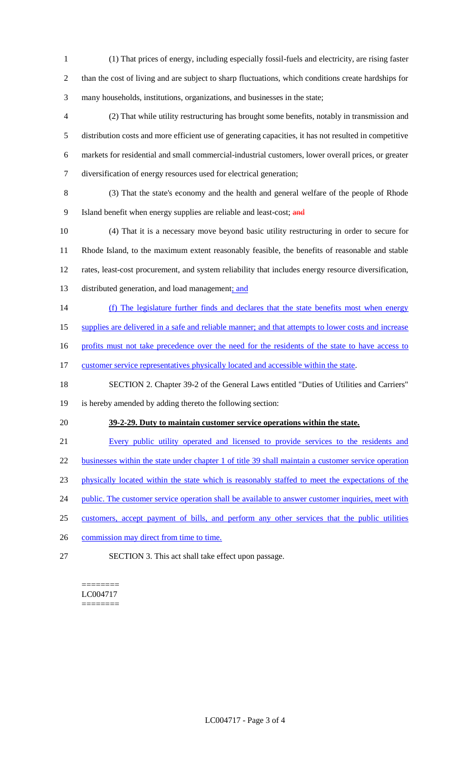- 1 (1) That prices of energy, including especially fossil-fuels and electricity, are rising faster 2 than the cost of living and are subject to sharp fluctuations, which conditions create hardships for 3 many households, institutions, organizations, and businesses in the state;
- 4 (2) That while utility restructuring has brought some benefits, notably in transmission and 5 distribution costs and more efficient use of generating capacities, it has not resulted in competitive 6 markets for residential and small commercial-industrial customers, lower overall prices, or greater 7 diversification of energy resources used for electrical generation;
- 8 (3) That the state's economy and the health and general welfare of the people of Rhode 9 Island benefit when energy supplies are reliable and least-cost; and
- 10 (4) That it is a necessary move beyond basic utility restructuring in order to secure for 11 Rhode Island, to the maximum extent reasonably feasible, the benefits of reasonable and stable 12 rates, least-cost procurement, and system reliability that includes energy resource diversification, 13 distributed generation, and load management; and
- 14 (f) The legislature further finds and declares that the state benefits most when energy
- 15 supplies are delivered in a safe and reliable manner; and that attempts to lower costs and increase
- 16 profits must not take precedence over the need for the residents of the state to have access to
- 17 customer service representatives physically located and accessible within the state.
- 18 SECTION 2. Chapter 39-2 of the General Laws entitled "Duties of Utilities and Carriers"
- 19 is hereby amended by adding thereto the following section:
- 

### 20 **39-2-29. Duty to maintain customer service operations within the state.**

- 21 Every public utility operated and licensed to provide services to the residents and
- 22 businesses within the state under chapter 1 of title 39 shall maintain a customer service operation
- 23 physically located within the state which is reasonably staffed to meet the expectations of the
- 24 public. The customer service operation shall be available to answer customer inquiries, meet with
- 25 customers, accept payment of bills, and perform any other services that the public utilities
- 26 commission may direct from time to time.
- 27 SECTION 3. This act shall take effect upon passage.

======== LC004717 ========